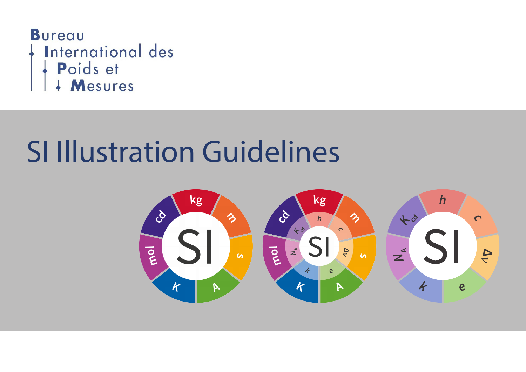

# SI Illustration Guidelines

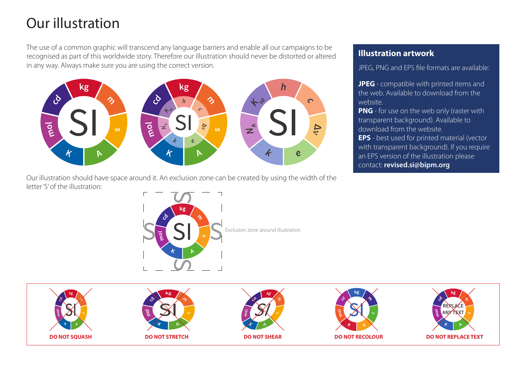## Our illustration

The use of a common graphic will transcend any language barriers and enable all our campaigns to be recognised as part of this worldwide story. Therefore our illustration should never be distorted or altered in any way. Always make sure you are using the correct version.



Our illustration should have space around it. An exclusion zone can be created by using the width of the letter 'S' of the illustration:

#### **Illustration artwork**

JPEG, PNG and EPS file formats are available:

**JPEG** - compatible with printed items and the web. Available to download from the website.

**PNG** - for use on the web only (raster with transparent background). Available to download from the website.

**EPS** - best used for printed material (vector with transparent background). If you require an EPS version of the illustration please contact: **revised.si@bipm.org**



Exclusion zone around illustration

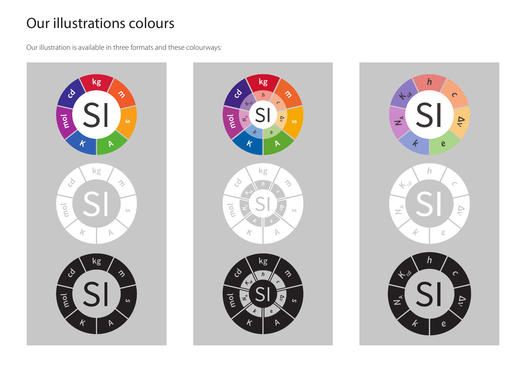## Our illustrations colours

Our illustration is available in three formats and these colourways: